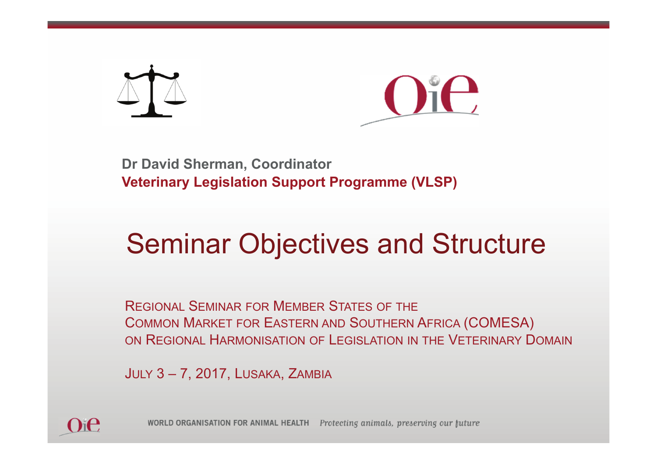



**Dr David Sherman, Coordinator Veterinary Legislation Support Programme (VLSP)**

#### Seminar Objectives and Structure

REGIONAL SEMINAR FOR MEMBER STATES OF THE COMMON MARKET FOR EASTERN AND SOUTHERN AFRICA (COMESA) ON REGIONAL HARMONISATION OF LEGISLATION IN THE VETERINARY DOMAIN

JULY 3 – 7, 2017, LUSAKA, ZAMBIA



WORLD ORGANISATION FOR ANIMAL HEALTH Protecting animals, preserving our future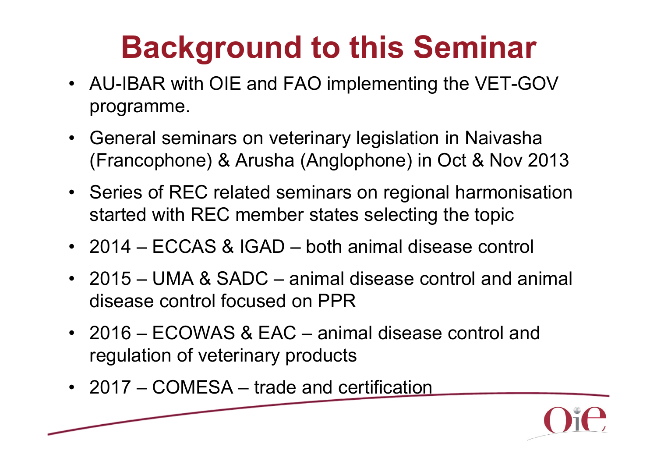# **Background to this Seminar**

- AU-IBAR with OIE and FAO implementing the VET-GOV programme.
- • General seminars on veterinary legislation in Naivasha (Francophone) & Arusha (Anglophone) in Oct & Nov 2013
- Series of REC related seminars on regional harmonisation started with REC member states selecting the topic
- 2014 ECCAS & IGAD both animal disease control
- 2015 UMA & SADC animal disease control and animal disease control focused on PPR
- 2016 ECOWAS & EAC animal disease control and regulation of veterinary products
- 2017 COMESA trade and certification

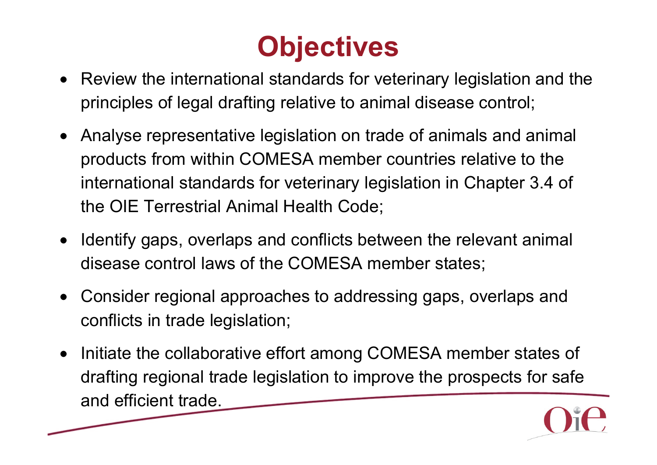

- Review the international standards for veterinary legislation and the principles of legal drafting relative to animal disease control;
- Analyse representative legislation on trade of animals and animal products from within COMESA member countries relative to the international standards for veterinary legislation in Chapter 3.4 of the OIE Terrestrial Animal Health Code;
- Identify gaps, overlaps and conflicts between the relevant animal disease control laws of the COMESA member states;
- Consider regional approaches to addressing gaps, overlaps and conflicts in trade legislation;
- • Initiate the collaborative effort among COMESA member states of drafting regional trade legislation to improve the prospects for safe and efficient trade.

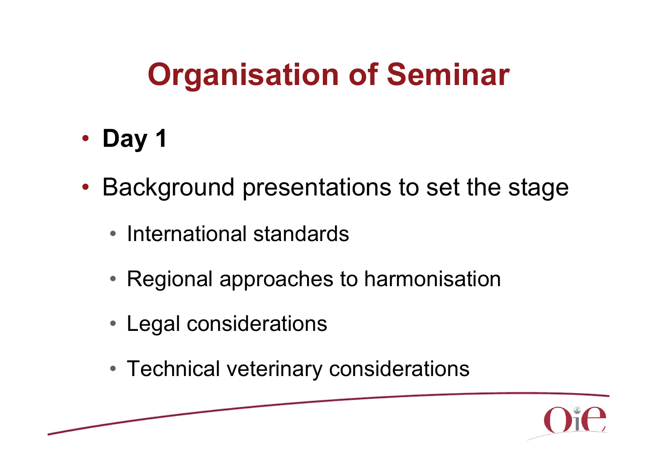- **Day 1**
- Background presentations to set the stage
	- International standards
	- Regional approaches to harmonisation
	- Legal considerations
	- Technical veterinary considerations

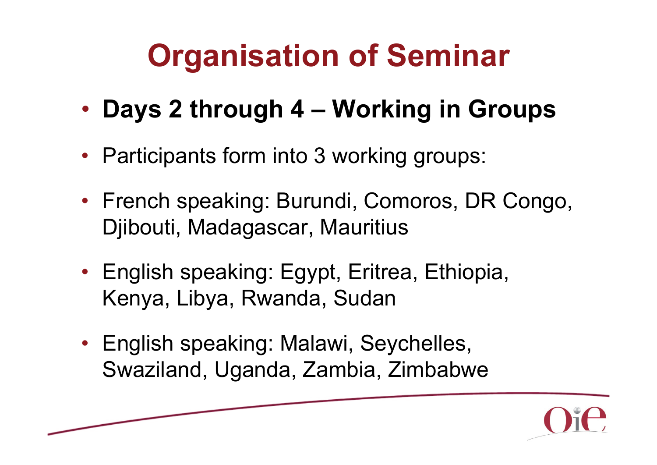- •**Days 2 through 4 – Working in Groups**
- Participants form into 3 working groups:
- French speaking: Burundi, Comoros, DR Congo, Djibouti, Madagascar, Mauritius
- English speaking: Egypt, Eritrea, Ethiopia, Kenya, Libya, Rwanda, Sudan
- English speaking: Malawi, Seychelles, Swaziland, Uganda, Zambia, Zimbabwe

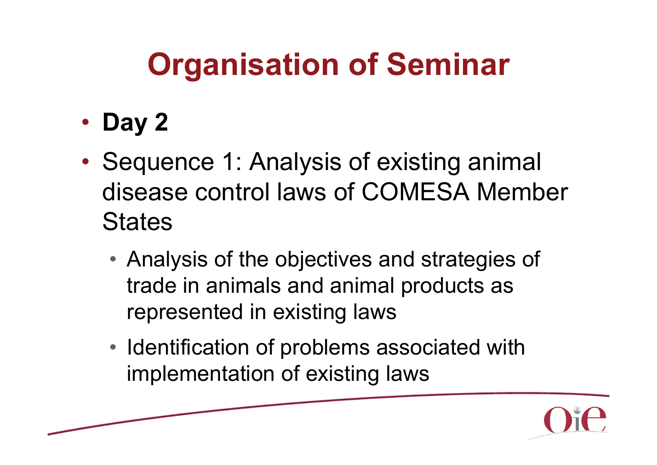- **Day 2**
- $\bullet$ • Sequence 1: Analysis of existing animal disease control laws of COMESA Member **States** 
	- Analysis of the objectives and strategies of trade in animals and animal products as represented in existing laws
	- Identification of problems associated with implementation of existing laws

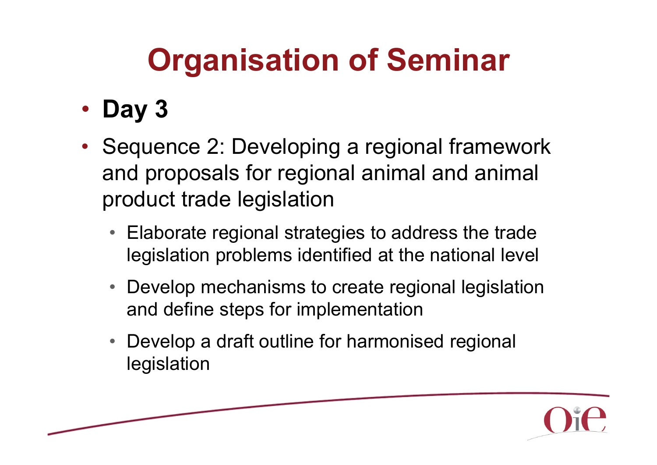- **Day 3**
- Sequence 2: Developing a regional framework and proposals for regional animal and animal product trade legislation
	- Elaborate regional strategies to address the trade legislation problems identified at the national level
	- Develop mechanisms to create regional legislation and define steps for implementation
	- • Develop a draft outline for harmonised regional legislation

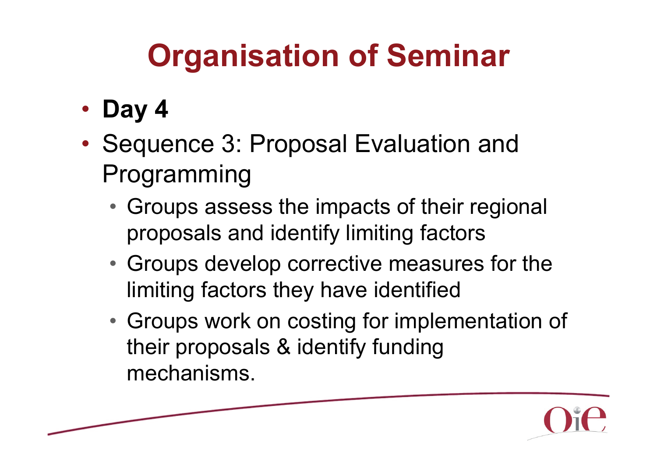- **Day 4**
- $\bullet$ • Sequence 3: Proposal Evaluation and Programming
	- Groups assess the impacts of their regional proposals and identify limiting factors
	- Groups develop corrective measures for the limiting factors they have identified
	- Groups work on costing for implementation of their proposals & identify funding mechanisms.

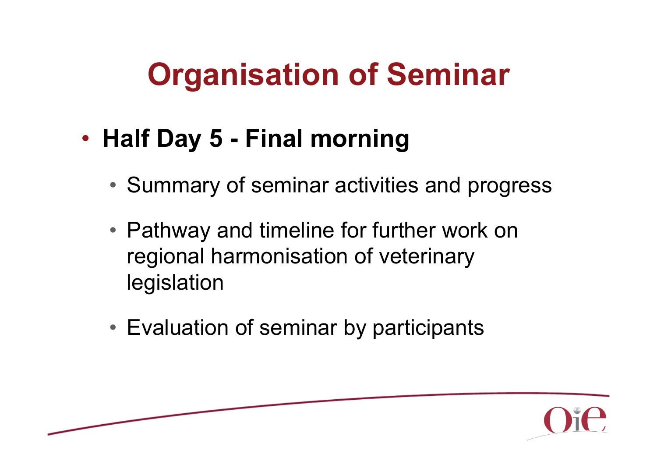- $\bullet$  **Half Day 5 - Final morning**
	- Summary of seminar activities and progress
	- Pathway and timeline for further work on regional harmonisation of veterinary legislation
	- Evaluation of seminar by participants